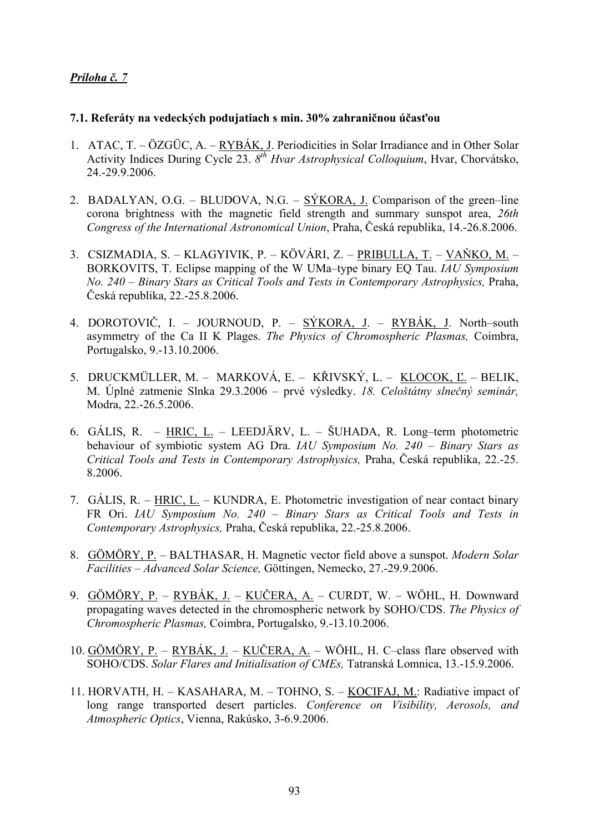## *Príloha č. 7*

## **7.1. Referáty na vedeckých podujatiach s min. 30% zahraničnou účasťou**

- 1. ATAC, T. ÖZGÜC, A. RYBÁK, J. Periodicities in Solar Irradiance and in Other Solar Activity Indices During Cycle 23. *8th Hvar Astrophysical Colloquium*, Hvar, Chorvátsko, 24.-29.9.2006.
- 2. BADALYAN, O.G. BLUDOVA, N.G. SÝKORA, J. Comparison of the green–line corona brightness with the magnetic field strength and summary sunspot area, *26th Congress of the International Astronomical Union*, Praha, Česká republika, 14.-26.8.2006.
- 3. CSIZMADIA, S. KLAGYIVIK, P. KÖVÁRI, Z. PRIBULLA, T. VAŇKO, M. BORKOVITS, T. Eclipse mapping of the W UMa–type binary EQ Tau. *IAU Symposium No. 240 – Binary Stars as Critical Tools and Tests in Contemporary Astrophysics,* Praha, Česká republika, 22.-25.8.2006.
- 4. DOROTOVIČ, I. JOURNOUD, P. SÝKORA, J. RYBÁK, J. North–south asymmetry of the Ca II K Plages. *The Physics of Chromospheric Plasmas,* Coimbra, Portugalsko, 9.-13.10.2006.
- 5. DRUCKMÜLLER, M. MARKOVÁ, E. KŘIVSKÝ, L. KLOCOK, Ľ. BELIK, M. Úplné zatmenie Slnka 29.3.2006 – prvé výsledky. *18. Celoštátny slnečný seminár,* Modra, 22.-26.5.2006.
- 6. GÁLIS, R. HRIC, L. LEEDJÄRV, L. ŠUHADA, R. Long–term photometric behaviour of symbiotic system AG Dra. *IAU Symposium No. 240 – Binary Stars as Critical Tools and Tests in Contemporary Astrophysics,* Praha, Česká republika, 22.-25. 8.2006.
- 7. GÁLIS, R. HRIC, L. KUNDRA, E. Photometric investigation of near contact binary FR Ori. *IAU Symposium No. 240 – Binary Stars as Critical Tools and Tests in Contemporary Astrophysics,* Praha, Česká republika, 22.-25.8.2006.
- 8. GÖMÖRY, P. BALTHASAR, H. Magnetic vector field above a sunspot. *Modern Solar Facilities – Advanced Solar Science,* Göttingen, Nemecko, 27.-29.9.2006.
- 9. GÖMÖRY, P. RYBÁK, J. KUČERA, A. CURDT, W. WÖHL, H. Downward propagating waves detected in the chromospheric network by SOHO/CDS. *The Physics of Chromospheric Plasmas,* Coimbra, Portugalsko, 9.-13.10.2006.
- 10. GÖMÖRY, P. RYBÁK, J. KUČERA, A. WÖHL, H. C–class flare observed with SOHO/CDS. *Solar Flares and Initialisation of CMEs,* Tatranská Lomnica, 13.-15.9.2006.
- 11. HORVATH, H. KASAHARA, M. TOHNO, S. KOCIFAJ, M.: Radiative impact of long range transported desert particles. *Conference on Visibility, Aerosols, and Atmospheric Optics*, Vienna, Rakúsko, 3-6.9.2006.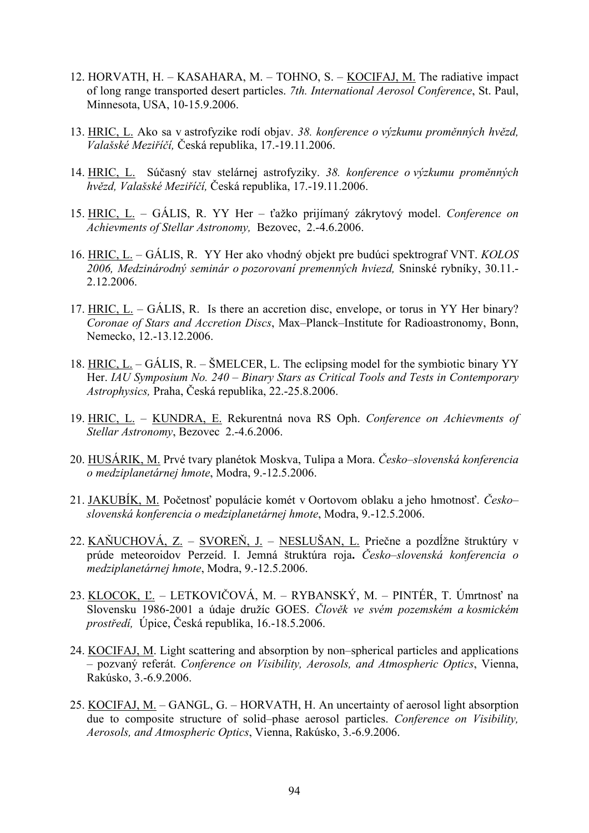- 12. HORVATH, H. KASAHARA, M. TOHNO, S. KOCIFAJ, M. The radiative impact of long range transported desert particles. *7th. International Aerosol Conference*, St. Paul, Minnesota, USA, 10-15.9.2006.
- 13. HRIC, L. Ako sa v astrofyzike rodí objav. *38. konference o výzkumu proměnných hvězd, Valašské Meziříčí,* Česká republika, 17.-19.11.2006.
- 14. HRIC, L. Súčasný stav stelárnej astrofyziky. *38. konference o výzkumu proměnných hvězd, Valašské Meziříčí,* Česká republika, 17.-19.11.2006.
- 15. HRIC, L. GÁLIS, R. YY Her ťažko prijímaný zákrytový model. *Conference on Achievments of Stellar Astronomy,* Bezovec, 2.-4.6.2006.
- 16. HRIC, L. GÁLIS, R. YY Her ako vhodný objekt pre budúci spektrograf VNT. *KOLOS 2006, Medzinárodný seminár o pozorovaní premenných hviezd,* Sninské rybníky, 30.11.- 2.12.2006.
- 17. HRIC, L. GÁLIS, R. Is there an accretion disc, envelope, or torus in YY Her binary? *Coronae of Stars and Accretion Discs*, Max–Planck–Institute for Radioastronomy, Bonn, Nemecko, 12.-13.12.2006.
- 18. HRIC, L. GÁLIS, R. ŠMELCER, L. The eclipsing model for the symbiotic binary YY Her. *IAU Symposium No. 240 – Binary Stars as Critical Tools and Tests in Contemporary Astrophysics,* Praha, Česká republika, 22.-25.8.2006.
- 19. HRIC, L. KUNDRA, E. Rekurentná nova RS Oph. *Conference on Achievments of Stellar Astronomy*, Bezovec 2.-4.6.2006.
- 20. HUSÁRIK, M. Prvé tvary planétok Moskva, Tulipa a Mora. *Česko–slovenská konferencia o medziplanetárnej hmote*, Modra, 9.-12.5.2006.
- 21. JAKUBÍK, M. Početnosť populácie komét v Oortovom oblaku a jeho hmotnosť. *Česko– slovenská konferencia o medziplanetárnej hmote*, Modra, 9.-12.5.2006.
- 22. KAŇUCHOVÁ, Z. SVOREŇ, J. NESLUŠAN, L. Priečne a pozdĺžne štruktúry v prúde meteoroidov Perzeíd. I. Jemná štruktúra roja**.** *Česko–slovenská konferencia o medziplanetárnej hmote*, Modra, 9.-12.5.2006.
- 23. KLOCOK, Ľ. LETKOVIČOVÁ, M. RYBANSKÝ, M. PINTÉR, T. Úmrtnosť na Slovensku 1986-2001 a údaje družíc GOES. *Člověk ve svém pozemském a kosmickém prostředí,* Úpice, Česká republika, 16.-18.5.2006.
- 24. KOCIFAJ, M. Light scattering and absorption by non–spherical particles and applications – pozvaný referát. *Conference on Visibility, Aerosols, and Atmospheric Optics*, Vienna, Rakúsko, 3.-6.9.2006.
- 25. KOCIFAJ, M. GANGL, G. HORVATH, H. An uncertainty of aerosol light absorption due to composite structure of solid–phase aerosol particles. *Conference on Visibility, Aerosols, and Atmospheric Optics*, Vienna, Rakúsko, 3.-6.9.2006.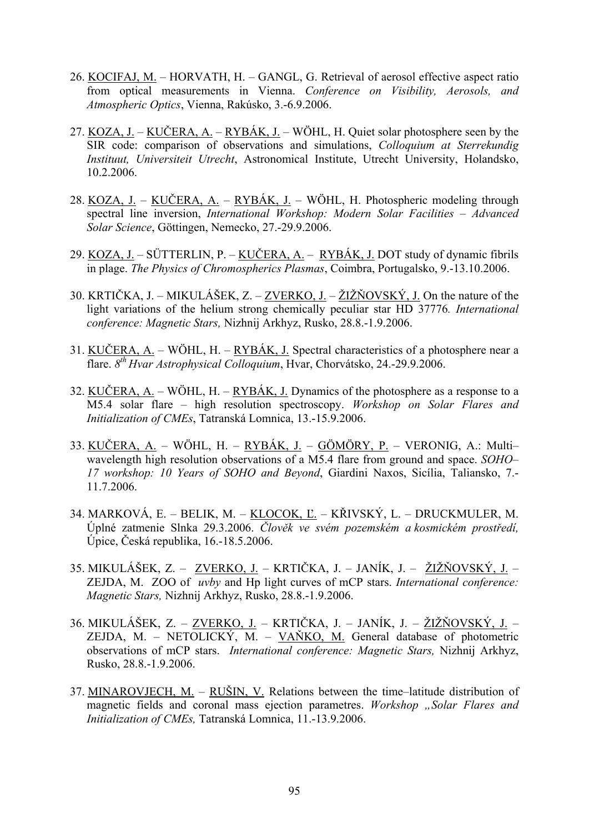- 26. KOCIFAJ, M. HORVATH, H. GANGL, G. Retrieval of aerosol effective aspect ratio from optical measurements in Vienna. *Conference on Visibility, Aerosols, and Atmospheric Optics*, Vienna, Rakúsko, 3.-6.9.2006.
- 27. KOZA, J. KUČERA, A. RYBÁK, J. WÖHL, H. Quiet solar photosphere seen by the SIR code: comparison of observations and simulations, *Colloquium at Sterrekundig Instituut, Universiteit Utrecht*, Astronomical Institute, Utrecht University, Holandsko, 10.2.2006.
- 28. KOZA, J. KUČERA, A. RYBÁK, J. WÖHL, H. Photospheric modeling through spectral line inversion, *International Workshop: Modern Solar Facilities – Advanced Solar Science*, Göttingen, Nemecko, 27.-29.9.2006.
- 29. KOZA, J. SÜTTERLIN, P. KUČERA, A. RYBÁK, J. DOT study of dynamic fibrils in plage. *The Physics of Chromospherics Plasmas*, Coimbra, Portugalsko, 9.-13.10.2006.
- 30. KRTIČKA, J. MIKULÁŠEK, Z. ZVERKO, J. ŽIŽŇOVSKÝ, J. On the nature of the light variations of the helium strong chemically peculiar star HD 37776*. International conference: Magnetic Stars,* Nizhnij Arkhyz, Rusko, 28.8.-1.9.2006.
- 31. KUČERA,  $A_1$  WÖHL, H. RYBÁK, J. Spectral characteristics of a photosphere near a flare. *8th Hvar Astrophysical Colloquium*, Hvar, Chorvátsko, 24.-29.9.2006.
- 32. KUČERA, A. WÖHL, H. RYBÁK, J. Dynamics of the photosphere as a response to a M5.4 solar flare – high resolution spectroscopy. *Workshop on Solar Flares and Initialization of CMEs*, Tatranská Lomnica, 13.-15.9.2006.
- 33. KUČERA, A. WÖHL, H. RYBÁK, J. GÖMÖRY, P. VERONIG, A.: Multi– wavelength high resolution observations of a M5.4 flare from ground and space. *SOHO– 17 workshop: 10 Years of SOHO and Beyond*, Giardini Naxos, Sicília, Taliansko, 7.- 11.7.2006.
- 34. MARKOVÁ, E. BELIK, M. KLOCOK, Ľ. KŘIVSKÝ, L. DRUCKMULER, M. Úplné zatmenie Slnka 29.3.2006. *Člověk ve svém pozemském a kosmickém prostředí,*  Úpice, Česká republika, 16.-18.5.2006.
- 35. MIKULÁŠEK, Z. ZVERKO, J. KRTIČKA, J. JANÍK, J. ŽIŽŇOVSKÝ, J. ZEJDA, M. ZOO of *uvby* and Hp light curves of mCP stars. *International conference: Magnetic Stars,* Nizhnij Arkhyz, Rusko, 28.8.-1.9.2006.
- 36. MIKULÁŠEK, Z. ZVERKO, J. KRTIČKA, J. JANÍK, J. ŽIŽŇOVSKÝ, J. ZEJDA, M. – NETOLICKÝ, M. – VAŇKO, M. General database of photometric observations of mCP stars. *International conference: Magnetic Stars,* Nizhnij Arkhyz, Rusko, 28.8.-1.9.2006.
- 37. MINAROVJECH, M. RUŠIN, V. Relations between the time–latitude distribution of magnetic fields and coronal mass ejection parametres. *Workshop* . Solar Flares and *Initialization of CMEs,* Tatranská Lomnica, 11.-13.9.2006.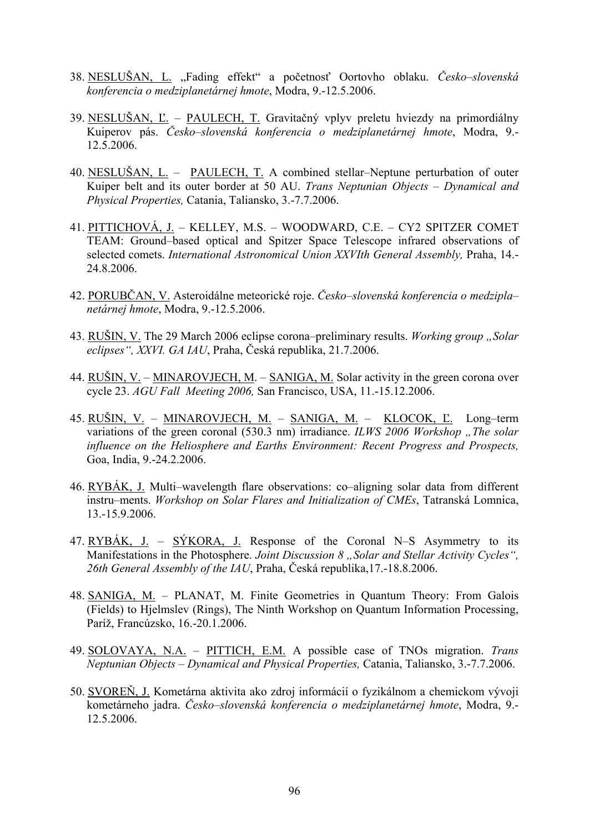- 38. NESLUŠAN, L. "Fading effekt" a početnosť Oortovho oblaku. *Česko–slovenská konferencia o medziplanetárnej hmote*, Modra, 9.-12.5.2006.
- 39. NESLUŠAN, Ľ. PAULECH, T. Gravitačný vplyv preletu hviezdy na primordiálny Kuiperov pás. *Česko–slovenská konferencia o medziplanetárnej hmote*, Modra, 9.- 12.5.2006.
- 40. NESLUŠAN, L. PAULECH, T. A combined stellar–Neptune perturbation of outer Kuiper belt and its outer border at 50 AU. *Trans Neptunian Objects – Dynamical and Physical Properties,* Catania, Taliansko, 3.-7.7.2006.
- 41. PITTICHOVÁ, J. KELLEY, M.S. WOODWARD, C.E. CY2 SPITZER COMET TEAM: Ground–based optical and Spitzer Space Telescope infrared observations of selected comets. *International Astronomical Union XXVIth General Assembly,* Praha, 14.- 24.8.2006.
- 42. PORUBČAN, V. Asteroidálne meteorické roje. *Česko–slovenská konferencia o medzipla– netárnej hmote*, Modra, 9.-12.5.2006.
- 43. RUŠIN, V. The 29 March 2006 eclipse corona–preliminary results. *Working group* "Solar *eclipses", XXVI. GA IAU*, Praha, Česká republika, 21.7.2006.
- 44. RUŠIN, V. MINAROVJECH, M. SANIGA, M. Solar activity in the green corona over cycle 23. *AGU Fall Meeting 2006,* San Francisco, USA, 11.-15.12.2006.
- 45. RUŠIN, V. MINAROVJECH, M. SANIGA, M. KLOCOK, Ľ. Long–term variations of the green coronal (530.3 nm) irradiance. *ILWS 2006 Workshop* "The solar *influence on the Heliosphere and Earths Environment: Recent Progress and Prospects,*  Goa, India, 9.-24.2.2006.
- 46. RYBÁK, J. Multi–wavelength flare observations: co–aligning solar data from different instru–ments. *Workshop on Solar Flares and Initialization of CMEs*, Tatranská Lomnica, 13.-15.9.2006.
- 47. RYBÁK, J. SÝKORA, J. Response of the Coronal N–S Asymmetry to its Manifestations in the Photosphere. *Joint Discussion 8* "Solar and Stellar Activity Cycles", *26th General Assembly of the IAU*, Praha, Česká republika,17.-18.8.2006.
- 48. SANIGA, M. PLANAT, M. Finite Geometries in Quantum Theory: From Galois (Fields) to Hjelmslev (Rings), The Ninth Workshop on Quantum Information Processing, Paríž, Francúzsko, 16.-20.1.2006.
- 49. SOLOVAYA, N.A. PITTICH, E.M. A possible case of TNOs migration. *Trans Neptunian Objects – Dynamical and Physical Properties,* Catania, Taliansko, 3.-7.7.2006.
- 50. SVOREŇ, J. Kometárna aktivita ako zdroj informácií o fyzikálnom a chemickom vývoji kometárneho jadra. *Česko–slovenská konferencia o medziplanetárnej hmote*, Modra, 9.- 12.5.2006.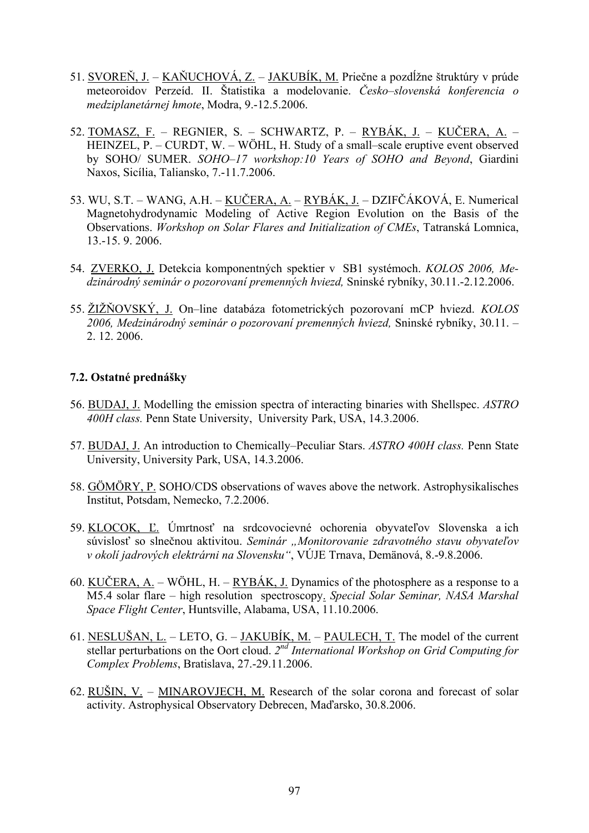- 51. SVOREŇ, J. KAŇUCHOVÁ, Z. JAKUBÍK, M. Priečne a pozdĺžne štruktúry v prúde meteoroidov Perzeíd. II. Štatistika a modelovanie. *Česko–slovenská konferencia o medziplanetárnej hmote*, Modra, 9.-12.5.2006.
- 52. TOMASZ, F. REGNIER, S. SCHWARTZ, P. RYBÁK, J. KUČERA, A. HEINZEL, P. – CURDT, W. – WÖHL, H. Study of a small–scale eruptive event observed by SOHO/ SUMER. *SOHO–17 workshop:10 Years of SOHO and Beyond*, Giardini Naxos, Sicília, Taliansko, 7.-11.7.2006.
- 53. WU, S.T. WANG, A.H. KUČERA, A. RYBÁK, J. DZIFČÁKOVÁ, E. Numerical Magnetohydrodynamic Modeling of Active Region Evolution on the Basis of the Observations. *Workshop on Solar Flares and Initialization of CMEs*, Tatranská Lomnica, 13.-15. 9. 2006.
- 54. ZVERKO, J. Detekcia komponentných spektier v SB1 systémoch. *KOLOS 2006, Medzinárodný seminár o pozorovaní premenných hviezd,* Sninské rybníky, 30.11.-2.12.2006.
- 55. ŽIŽŇOVSKÝ, J. On–line databáza fotometrických pozorovaní mCP hviezd. *KOLOS 2006, Medzinárodný seminár o pozorovaní premenných hviezd,* Sninské rybníky, 30.11. – 2. 12. 2006.

## **7.2. Ostatné prednášky**

- 56. BUDAJ, J. Modelling the emission spectra of interacting binaries with Shellspec. *ASTRO 400H class.* Penn State University, University Park, USA, 14.3.2006.
- 57. BUDAJ, J. An introduction to Chemically–Peculiar Stars. *ASTRO 400H class.* Penn State University, University Park, USA, 14.3.2006.
- 58. GÖMÖRY, P. SOHO/CDS observations of waves above the network. Astrophysikalisches Institut, Potsdam, Nemecko, 7.2.2006.
- 59. KLOCOK, Ľ. Úmrtnosť na srdcovocievné ochorenia obyvateľov Slovenska a ich súvislosť so slnečnou aktivitou. *Seminár "Monitorovanie zdravotného stavu obyvateľov v okolí jadrových elektrárni na Slovensku"*, VÚJE Trnava, Demänová, 8.-9.8.2006.
- 60. KUČERA, A. WÖHL, H. RYBÁK, J. Dynamics of the photosphere as a response to a M5.4 solar flare – high resolution spectroscopy. *Special Solar Seminar, NASA Marshal Space Flight Center*, Huntsville, Alabama, USA, 11.10.2006.
- 61. NESLUŠAN, L. LETO, G. JAKUBÍK, M. PAULECH, T. The model of the current stellar perturbations on the Oort cloud. *2nd International Workshop on Grid Computing for Complex Problems*, Bratislava, 27.-29.11.2006.
- 62. RUŠIN, V. MINAROVJECH, M. Research of the solar corona and forecast of solar activity. Astrophysical Observatory Debrecen, Maďarsko, 30.8.2006.